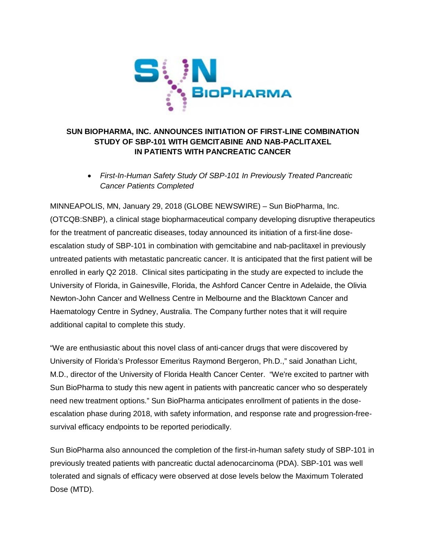

## **SUN BIOPHARMA, INC. ANNOUNCES INITIATION OF FIRST-LINE COMBINATION STUDY OF SBP-101 WITH GEMCITABINE AND NAB-PACLITAXEL IN PATIENTS WITH PANCREATIC CANCER**

• *First-In-Human Safety Study Of SBP-101 In Previously Treated Pancreatic Cancer Patients Completed*

MINNEAPOLIS, MN, January 29, 2018 (GLOBE NEWSWIRE) – Sun BioPharma, Inc. (OTCQB:SNBP), a clinical stage biopharmaceutical company developing disruptive therapeutics for the treatment of pancreatic diseases, today announced its initiation of a first-line doseescalation study of SBP-101 in combination with gemcitabine and nab-paclitaxel in previously untreated patients with metastatic pancreatic cancer. It is anticipated that the first patient will be enrolled in early Q2 2018. Clinical sites participating in the study are expected to include the University of Florida, in Gainesville, Florida, the Ashford Cancer Centre in Adelaide, the Olivia Newton-John Cancer and Wellness Centre in Melbourne and the Blacktown Cancer and Haematology Centre in Sydney, Australia. The Company further notes that it will require additional capital to complete this study.

"We are enthusiastic about this novel class of anti-cancer drugs that were discovered by University of Florida's Professor Emeritus Raymond Bergeron, Ph.D.," said Jonathan Licht, M.D., director of the University of Florida Health Cancer Center. "We're excited to partner with Sun BioPharma to study this new agent in patients with pancreatic cancer who so desperately need new treatment options." Sun BioPharma anticipates enrollment of patients in the doseescalation phase during 2018, with safety information, and response rate and progression-freesurvival efficacy endpoints to be reported periodically.

Sun BioPharma also announced the completion of the first-in-human safety study of SBP-101 in previously treated patients with pancreatic ductal adenocarcinoma (PDA). SBP-101 was well tolerated and signals of efficacy were observed at dose levels below the Maximum Tolerated Dose (MTD).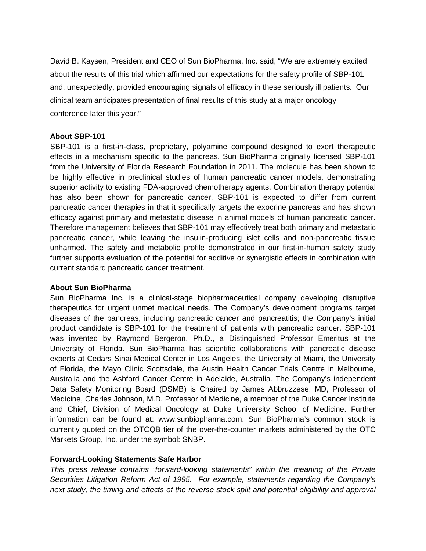David B. Kaysen, President and CEO of Sun BioPharma, Inc. said, "We are extremely excited about the results of this trial which affirmed our expectations for the safety profile of SBP-101 and, unexpectedly, provided encouraging signals of efficacy in these seriously ill patients. Our clinical team anticipates presentation of final results of this study at a major oncology conference later this year."

## **About SBP-101**

SBP-101 is a first-in-class, proprietary, polyamine compound designed to exert therapeutic effects in a mechanism specific to the pancreas. Sun BioPharma originally licensed SBP-101 from the University of Florida Research Foundation in 2011. The molecule has been shown to be highly effective in preclinical studies of human pancreatic cancer models, demonstrating superior activity to existing FDA-approved chemotherapy agents. Combination therapy potential has also been shown for pancreatic cancer. SBP-101 is expected to differ from current pancreatic cancer therapies in that it specifically targets the exocrine pancreas and has shown efficacy against primary and metastatic disease in animal models of human pancreatic cancer. Therefore management believes that SBP-101 may effectively treat both primary and metastatic pancreatic cancer, while leaving the insulin-producing islet cells and non-pancreatic tissue unharmed. The safety and metabolic profile demonstrated in our first-in-human safety study further supports evaluation of the potential for additive or synergistic effects in combination with current standard pancreatic cancer treatment.

## **About Sun BioPharma**

Sun BioPharma Inc. is a clinical-stage biopharmaceutical company developing disruptive therapeutics for urgent unmet medical needs. The Company's development programs target diseases of the pancreas, including pancreatic cancer and pancreatitis; the Company's initial product candidate is SBP-101 for the treatment of patients with pancreatic cancer. SBP-101 was invented by Raymond Bergeron, Ph.D., a Distinguished Professor Emeritus at the University of Florida. Sun BioPharma has scientific collaborations with pancreatic disease experts at Cedars Sinai Medical Center in Los Angeles, the University of Miami, the University of Florida, the Mayo Clinic Scottsdale, the Austin Health Cancer Trials Centre in Melbourne, Australia and the Ashford Cancer Centre in Adelaide, Australia. The Company's independent Data Safety Monitoring Board (DSMB) is Chaired by James Abbruzzese, MD, Professor of Medicine, Charles Johnson, M.D. Professor of Medicine, a member of the Duke Cancer Institute and Chief, Division of Medical Oncology at Duke University School of Medicine. Further information can be found at: www.sunbiopharma.com. Sun BioPharma's common stock is currently quoted on the OTCQB tier of the over-the-counter markets administered by the OTC Markets Group, Inc. under the symbol: SNBP.

## **Forward-Looking Statements Safe Harbor**

*This press release contains "forward-looking statements" within the meaning of the Private Securities Litigation Reform Act of 1995. For example, statements regarding the Company's*  next study, the timing and effects of the reverse stock split and potential eligibility and approval